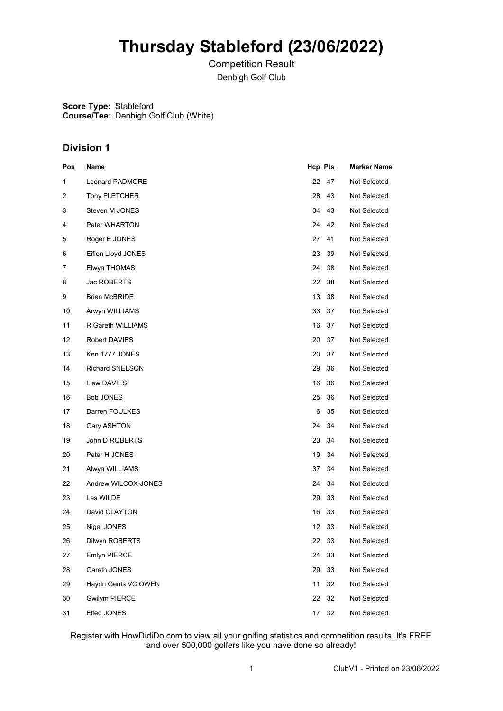# **Thursday Stableford (23/06/2022)**

Competition Result Denbigh Golf Club

**Score Type:** Stableford **Course/Tee:** Denbigh Golf Club (White)

### **Division 1**

| <u>Pos</u> | <u>Name</u>            | <b>Hcp Pts</b> |    | <b>Marker Name</b> |
|------------|------------------------|----------------|----|--------------------|
| 1          | Leonard PADMORE        | 22             | 47 | Not Selected       |
| 2          | <b>Tony FLETCHER</b>   | 28             | 43 | Not Selected       |
| 3          | Steven M JONES         | 34             | 43 | Not Selected       |
| 4          | Peter WHARTON          | 24             | 42 | Not Selected       |
| 5          | Roger E JONES          | 27             | 41 | Not Selected       |
| 6          | Eifion Lloyd JONES     | 23             | 39 | Not Selected       |
| 7          | Elwyn THOMAS           | 24             | 38 | Not Selected       |
| 8          | Jac ROBERTS            | 22             | 38 | Not Selected       |
| 9          | <b>Brian McBRIDE</b>   | 13             | 38 | Not Selected       |
| 10         | Arwyn WILLIAMS         | 33             | 37 | Not Selected       |
| 11         | R Gareth WILLIAMS      | 16             | 37 | Not Selected       |
| 12         | Robert DAVIES          | 20             | 37 | Not Selected       |
| 13         | Ken 1777 JONES         | 20             | 37 | Not Selected       |
| 14         | <b>Richard SNELSON</b> | 29             | 36 | Not Selected       |
| 15         | Llew DAVIES            | 16             | 36 | Not Selected       |
| 16         | <b>Bob JONES</b>       | 25             | 36 | Not Selected       |
| 17         | Darren FOULKES         | 6              | 35 | Not Selected       |
| 18         | Gary ASHTON            | 24             | 34 | Not Selected       |
| 19         | John D ROBERTS         | 20             | 34 | Not Selected       |
| 20         | Peter H JONES          | 19             | 34 | Not Selected       |
| 21         | Alwyn WILLIAMS         | 37             | 34 | Not Selected       |
| 22         | Andrew WILCOX-JONES    | 24             | 34 | Not Selected       |
| 23         | Les WILDE              | 29             | 33 | Not Selected       |
| 24         | David CLAYTON          | 16             | 33 | Not Selected       |
| 25         | Nigel JONES            | 12             | 33 | Not Selected       |
| 26         | Dilwyn ROBERTS         | 22             | 33 | Not Selected       |
| 27         | Emlyn PIERCE           | 24             | 33 | Not Selected       |
| 28         | Gareth JONES           | 29             | 33 | Not Selected       |
| 29         | Haydn Gents VC OWEN    | 11             | 32 | Not Selected       |
| 30         | <b>Gwilym PIERCE</b>   | 22             | 32 | Not Selected       |
| 31         | Elfed JONES            | 17             | 32 | Not Selected       |

Register with HowDidiDo.com to view all your golfing statistics and competition results. It's FREE and over 500,000 golfers like you have done so already!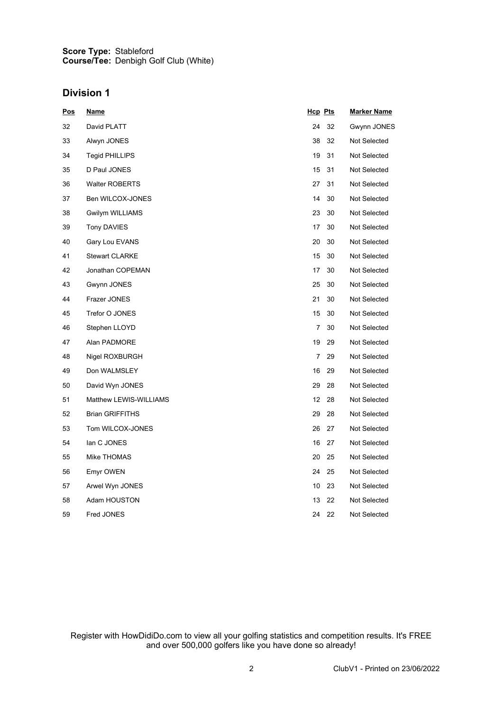#### **Score Type: Course/Tee:** Stableford Denbigh Golf Club (White)

### **Division 1**

| <u>Pos</u> | <u>Name</u>            | Hcp Pts |    | <u>Marker Name</u> |
|------------|------------------------|---------|----|--------------------|
| 32         | David PLATT            | 24      | 32 | Gwynn JONES        |
| 33         | Alwyn JONES            | 38      | 32 | Not Selected       |
| 34         | Tegid PHILLIPS         | 19      | 31 | Not Selected       |
| 35         | D Paul JONES           | 15      | 31 | Not Selected       |
| 36         | <b>Walter ROBERTS</b>  | 27      | 31 | Not Selected       |
| 37         | Ben WILCOX-JONES       | 14      | 30 | Not Selected       |
| 38         | <b>Gwilym WILLIAMS</b> | 23      | 30 | Not Selected       |
| 39         | <b>Tony DAVIES</b>     | 17      | 30 | Not Selected       |
| 40         | Gary Lou EVANS         | 20      | 30 | Not Selected       |
| 41         | <b>Stewart CLARKE</b>  | 15      | 30 | Not Selected       |
| 42         | Jonathan COPEMAN       | 17      | 30 | Not Selected       |
| 43         | Gwynn JONES            | 25      | 30 | Not Selected       |
| 44         | Frazer JONES           | 21      | 30 | Not Selected       |
| 45         | Trefor O JONES         | 15      | 30 | Not Selected       |
| 46         | Stephen LLOYD          | 7       | 30 | Not Selected       |
| 47         | Alan PADMORE           | 19      | 29 | Not Selected       |
| 48         | Nigel ROXBURGH         | 7       | 29 | Not Selected       |
| 49         | Don WALMSLEY           | 16      | 29 | Not Selected       |
| 50         | David Wyn JONES        | 29      | 28 | Not Selected       |
| 51         | Matthew LEWIS-WILLIAMS | 12      | 28 | Not Selected       |
| 52         | <b>Brian GRIFFITHS</b> | 29      | 28 | Not Selected       |
| 53         | Tom WILCOX-JONES       | 26      | 27 | Not Selected       |
| 54         | lan C JONES            | 16      | 27 | Not Selected       |
| 55         | Mike THOMAS            | 20      | 25 | Not Selected       |
| 56         | Emyr OWEN              | 24      | 25 | Not Selected       |
| 57         | Arwel Wyn JONES        | 10      | 23 | Not Selected       |
| 58         | Adam HOUSTON           | 13      | 22 | Not Selected       |
| 59         | Fred JONES             | 24      | 22 | Not Selected       |

Register with HowDidiDo.com to view all your golfing statistics and competition results. It's FREE and over 500,000 golfers like you have done so already!